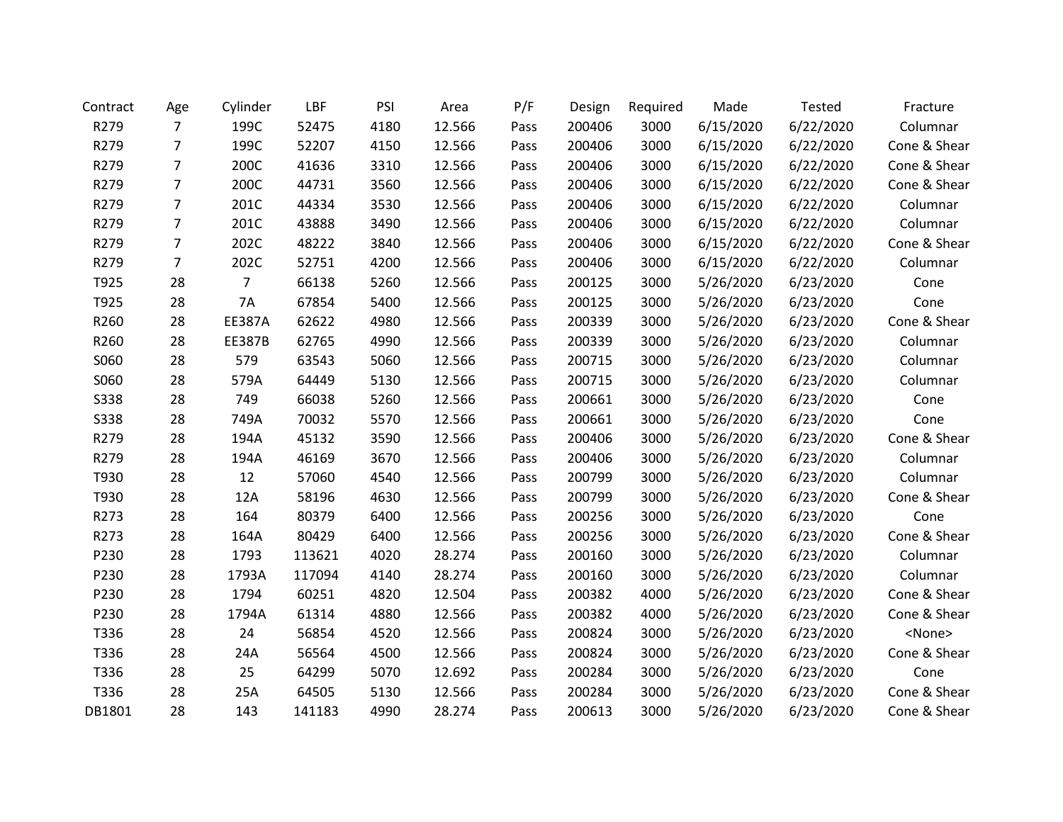| Contract    | Age            | Cylinder      | LBF    | PSI  | Area   | P/F  | Design | Required | Made      | Tested    | Fracture      |
|-------------|----------------|---------------|--------|------|--------|------|--------|----------|-----------|-----------|---------------|
| R279        | $\overline{7}$ | 199C          | 52475  | 4180 | 12.566 | Pass | 200406 | 3000     | 6/15/2020 | 6/22/2020 | Columnar      |
| R279        | $\overline{7}$ | 199C          | 52207  | 4150 | 12.566 | Pass | 200406 | 3000     | 6/15/2020 | 6/22/2020 | Cone & Shear  |
| R279        | 7              | 200C          | 41636  | 3310 | 12.566 | Pass | 200406 | 3000     | 6/15/2020 | 6/22/2020 | Cone & Shear  |
| R279        | $\overline{7}$ | 200C          | 44731  | 3560 | 12.566 | Pass | 200406 | 3000     | 6/15/2020 | 6/22/2020 | Cone & Shear  |
| R279        | 7              | 201C          | 44334  | 3530 | 12.566 | Pass | 200406 | 3000     | 6/15/2020 | 6/22/2020 | Columnar      |
| R279        | $\overline{7}$ | 201C          | 43888  | 3490 | 12.566 | Pass | 200406 | 3000     | 6/15/2020 | 6/22/2020 | Columnar      |
| R279        | 7              | 202C          | 48222  | 3840 | 12.566 | Pass | 200406 | 3000     | 6/15/2020 | 6/22/2020 | Cone & Shear  |
| R279        | $\overline{7}$ | 202C          | 52751  | 4200 | 12.566 | Pass | 200406 | 3000     | 6/15/2020 | 6/22/2020 | Columnar      |
| T925        | 28             | 7             | 66138  | 5260 | 12.566 | Pass | 200125 | 3000     | 5/26/2020 | 6/23/2020 | Cone          |
| T925        | 28             | 7A            | 67854  | 5400 | 12.566 | Pass | 200125 | 3000     | 5/26/2020 | 6/23/2020 | Cone          |
| R260        | 28             | <b>EE387A</b> | 62622  | 4980 | 12.566 | Pass | 200339 | 3000     | 5/26/2020 | 6/23/2020 | Cone & Shear  |
| R260        | 28             | <b>EE387B</b> | 62765  | 4990 | 12.566 | Pass | 200339 | 3000     | 5/26/2020 | 6/23/2020 | Columnar      |
| S060        | 28             | 579           | 63543  | 5060 | 12.566 | Pass | 200715 | 3000     | 5/26/2020 | 6/23/2020 | Columnar      |
| S060        | 28             | 579A          | 64449  | 5130 | 12.566 | Pass | 200715 | 3000     | 5/26/2020 | 6/23/2020 | Columnar      |
| <b>S338</b> | 28             | 749           | 66038  | 5260 | 12.566 | Pass | 200661 | 3000     | 5/26/2020 | 6/23/2020 | Cone          |
| <b>S338</b> | 28             | 749A          | 70032  | 5570 | 12.566 | Pass | 200661 | 3000     | 5/26/2020 | 6/23/2020 | Cone          |
| R279        | 28             | 194A          | 45132  | 3590 | 12.566 | Pass | 200406 | 3000     | 5/26/2020 | 6/23/2020 | Cone & Shear  |
| R279        | 28             | 194A          | 46169  | 3670 | 12.566 | Pass | 200406 | 3000     | 5/26/2020 | 6/23/2020 | Columnar      |
| T930        | 28             | 12            | 57060  | 4540 | 12.566 | Pass | 200799 | 3000     | 5/26/2020 | 6/23/2020 | Columnar      |
| T930        | 28             | 12A           | 58196  | 4630 | 12.566 | Pass | 200799 | 3000     | 5/26/2020 | 6/23/2020 | Cone & Shear  |
| R273        | 28             | 164           | 80379  | 6400 | 12.566 | Pass | 200256 | 3000     | 5/26/2020 | 6/23/2020 | Cone          |
| R273        | 28             | 164A          | 80429  | 6400 | 12.566 | Pass | 200256 | 3000     | 5/26/2020 | 6/23/2020 | Cone & Shear  |
| P230        | 28             | 1793          | 113621 | 4020 | 28.274 | Pass | 200160 | 3000     | 5/26/2020 | 6/23/2020 | Columnar      |
| P230        | 28             | 1793A         | 117094 | 4140 | 28.274 | Pass | 200160 | 3000     | 5/26/2020 | 6/23/2020 | Columnar      |
| P230        | 28             | 1794          | 60251  | 4820 | 12.504 | Pass | 200382 | 4000     | 5/26/2020 | 6/23/2020 | Cone & Shear  |
| P230        | 28             | 1794A         | 61314  | 4880 | 12.566 | Pass | 200382 | 4000     | 5/26/2020 | 6/23/2020 | Cone & Shear  |
| T336        | 28             | 24            | 56854  | 4520 | 12.566 | Pass | 200824 | 3000     | 5/26/2020 | 6/23/2020 | <none></none> |
| T336        | 28             | 24A           | 56564  | 4500 | 12.566 | Pass | 200824 | 3000     | 5/26/2020 | 6/23/2020 | Cone & Shear  |
| T336        | 28             | 25            | 64299  | 5070 | 12.692 | Pass | 200284 | 3000     | 5/26/2020 | 6/23/2020 | Cone          |
| T336        | 28             | 25A           | 64505  | 5130 | 12.566 | Pass | 200284 | 3000     | 5/26/2020 | 6/23/2020 | Cone & Shear  |
| DB1801      | 28             | 143           | 141183 | 4990 | 28.274 | Pass | 200613 | 3000     | 5/26/2020 | 6/23/2020 | Cone & Shear  |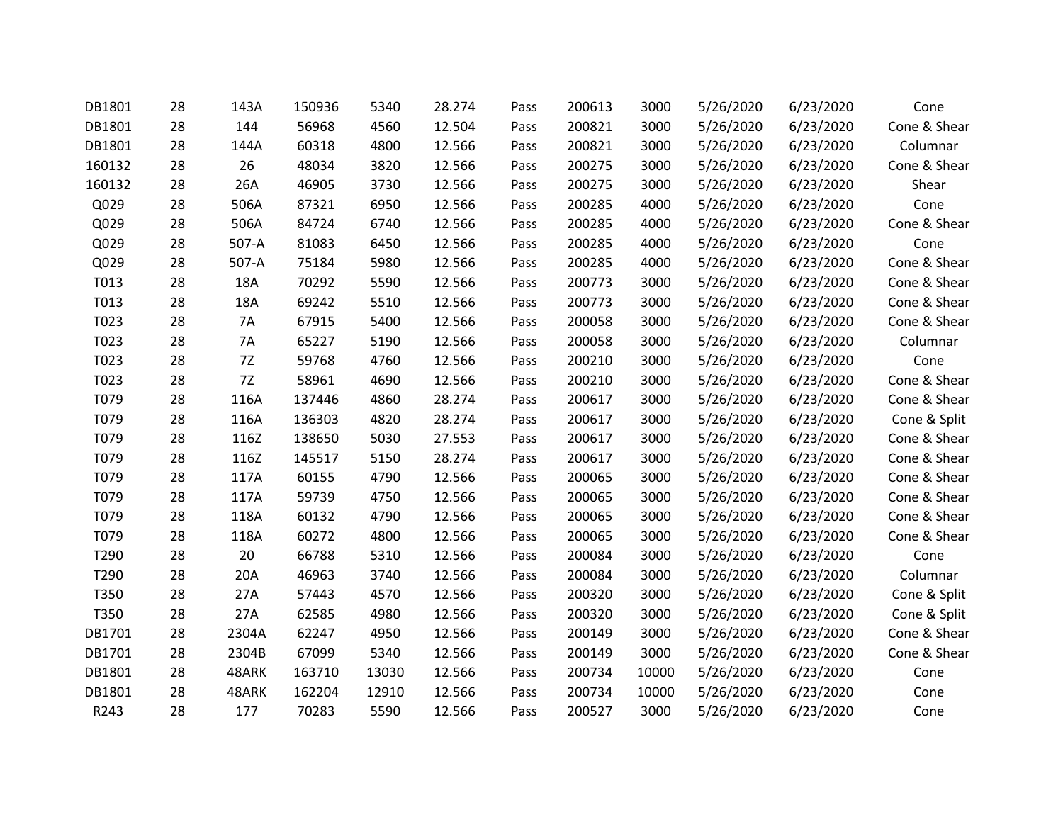| DB1801 | 28 | 143A      | 150936 | 5340  | 28.274 | Pass | 200613 | 3000  | 5/26/2020 | 6/23/2020 | Cone         |
|--------|----|-----------|--------|-------|--------|------|--------|-------|-----------|-----------|--------------|
| DB1801 | 28 | 144       | 56968  | 4560  | 12.504 | Pass | 200821 | 3000  | 5/26/2020 | 6/23/2020 | Cone & Shear |
| DB1801 | 28 | 144A      | 60318  | 4800  | 12.566 | Pass | 200821 | 3000  | 5/26/2020 | 6/23/2020 | Columnar     |
| 160132 | 28 | 26        | 48034  | 3820  | 12.566 | Pass | 200275 | 3000  | 5/26/2020 | 6/23/2020 | Cone & Shear |
| 160132 | 28 | 26A       | 46905  | 3730  | 12.566 | Pass | 200275 | 3000  | 5/26/2020 | 6/23/2020 | Shear        |
| Q029   | 28 | 506A      | 87321  | 6950  | 12.566 | Pass | 200285 | 4000  | 5/26/2020 | 6/23/2020 | Cone         |
| Q029   | 28 | 506A      | 84724  | 6740  | 12.566 | Pass | 200285 | 4000  | 5/26/2020 | 6/23/2020 | Cone & Shear |
| Q029   | 28 | 507-A     | 81083  | 6450  | 12.566 | Pass | 200285 | 4000  | 5/26/2020 | 6/23/2020 | Cone         |
| Q029   | 28 | 507-A     | 75184  | 5980  | 12.566 | Pass | 200285 | 4000  | 5/26/2020 | 6/23/2020 | Cone & Shear |
| T013   | 28 | 18A       | 70292  | 5590  | 12.566 | Pass | 200773 | 3000  | 5/26/2020 | 6/23/2020 | Cone & Shear |
| T013   | 28 | 18A       | 69242  | 5510  | 12.566 | Pass | 200773 | 3000  | 5/26/2020 | 6/23/2020 | Cone & Shear |
| T023   | 28 | <b>7A</b> | 67915  | 5400  | 12.566 | Pass | 200058 | 3000  | 5/26/2020 | 6/23/2020 | Cone & Shear |
| T023   | 28 | 7A        | 65227  | 5190  | 12.566 | Pass | 200058 | 3000  | 5/26/2020 | 6/23/2020 | Columnar     |
| T023   | 28 | 7Z        | 59768  | 4760  | 12.566 | Pass | 200210 | 3000  | 5/26/2020 | 6/23/2020 | Cone         |
| T023   | 28 | 7Z        | 58961  | 4690  | 12.566 | Pass | 200210 | 3000  | 5/26/2020 | 6/23/2020 | Cone & Shear |
| T079   | 28 | 116A      | 137446 | 4860  | 28.274 | Pass | 200617 | 3000  | 5/26/2020 | 6/23/2020 | Cone & Shear |
| T079   | 28 | 116A      | 136303 | 4820  | 28.274 | Pass | 200617 | 3000  | 5/26/2020 | 6/23/2020 | Cone & Split |
| T079   | 28 | 116Z      | 138650 | 5030  | 27.553 | Pass | 200617 | 3000  | 5/26/2020 | 6/23/2020 | Cone & Shear |
| T079   | 28 | 116Z      | 145517 | 5150  | 28.274 | Pass | 200617 | 3000  | 5/26/2020 | 6/23/2020 | Cone & Shear |
| T079   | 28 | 117A      | 60155  | 4790  | 12.566 | Pass | 200065 | 3000  | 5/26/2020 | 6/23/2020 | Cone & Shear |
| T079   | 28 | 117A      | 59739  | 4750  | 12.566 | Pass | 200065 | 3000  | 5/26/2020 | 6/23/2020 | Cone & Shear |
| T079   | 28 | 118A      | 60132  | 4790  | 12.566 | Pass | 200065 | 3000  | 5/26/2020 | 6/23/2020 | Cone & Shear |
| T079   | 28 | 118A      | 60272  | 4800  | 12.566 | Pass | 200065 | 3000  | 5/26/2020 | 6/23/2020 | Cone & Shear |
| T290   | 28 | 20        | 66788  | 5310  | 12.566 | Pass | 200084 | 3000  | 5/26/2020 | 6/23/2020 | Cone         |
| T290   | 28 | 20A       | 46963  | 3740  | 12.566 | Pass | 200084 | 3000  | 5/26/2020 | 6/23/2020 | Columnar     |
| T350   | 28 | 27A       | 57443  | 4570  | 12.566 | Pass | 200320 | 3000  | 5/26/2020 | 6/23/2020 | Cone & Split |
| T350   | 28 | 27A       | 62585  | 4980  | 12.566 | Pass | 200320 | 3000  | 5/26/2020 | 6/23/2020 | Cone & Split |
| DB1701 | 28 | 2304A     | 62247  | 4950  | 12.566 | Pass | 200149 | 3000  | 5/26/2020 | 6/23/2020 | Cone & Shear |
| DB1701 | 28 | 2304B     | 67099  | 5340  | 12.566 | Pass | 200149 | 3000  | 5/26/2020 | 6/23/2020 | Cone & Shear |
| DB1801 | 28 | 48ARK     | 163710 | 13030 | 12.566 | Pass | 200734 | 10000 | 5/26/2020 | 6/23/2020 | Cone         |
| DB1801 | 28 | 48ARK     | 162204 | 12910 | 12.566 | Pass | 200734 | 10000 | 5/26/2020 | 6/23/2020 | Cone         |
| R243   | 28 | 177       | 70283  | 5590  | 12.566 | Pass | 200527 | 3000  | 5/26/2020 | 6/23/2020 | Cone         |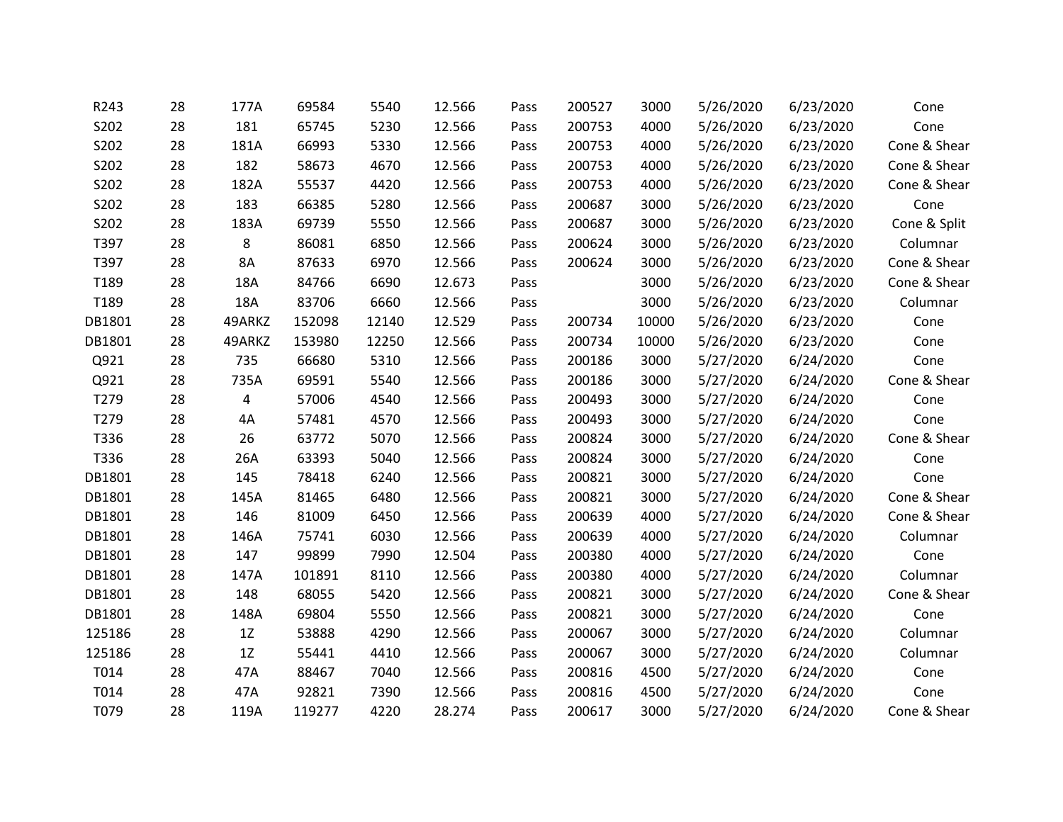| R243   | 28 | 177A   | 69584  | 5540  | 12.566 | Pass | 200527 | 3000  | 5/26/2020 | 6/23/2020 | Cone         |
|--------|----|--------|--------|-------|--------|------|--------|-------|-----------|-----------|--------------|
| S202   | 28 | 181    | 65745  | 5230  | 12.566 | Pass | 200753 | 4000  | 5/26/2020 | 6/23/2020 | Cone         |
| S202   | 28 | 181A   | 66993  | 5330  | 12.566 | Pass | 200753 | 4000  | 5/26/2020 | 6/23/2020 | Cone & Shear |
| S202   | 28 | 182    | 58673  | 4670  | 12.566 | Pass | 200753 | 4000  | 5/26/2020 | 6/23/2020 | Cone & Shear |
| S202   | 28 | 182A   | 55537  | 4420  | 12.566 | Pass | 200753 | 4000  | 5/26/2020 | 6/23/2020 | Cone & Shear |
| S202   | 28 | 183    | 66385  | 5280  | 12.566 | Pass | 200687 | 3000  | 5/26/2020 | 6/23/2020 | Cone         |
| S202   | 28 | 183A   | 69739  | 5550  | 12.566 | Pass | 200687 | 3000  | 5/26/2020 | 6/23/2020 | Cone & Split |
| T397   | 28 | 8      | 86081  | 6850  | 12.566 | Pass | 200624 | 3000  | 5/26/2020 | 6/23/2020 | Columnar     |
| T397   | 28 | 8A     | 87633  | 6970  | 12.566 | Pass | 200624 | 3000  | 5/26/2020 | 6/23/2020 | Cone & Shear |
| T189   | 28 | 18A    | 84766  | 6690  | 12.673 | Pass |        | 3000  | 5/26/2020 | 6/23/2020 | Cone & Shear |
| T189   | 28 | 18A    | 83706  | 6660  | 12.566 | Pass |        | 3000  | 5/26/2020 | 6/23/2020 | Columnar     |
| DB1801 | 28 | 49ARKZ | 152098 | 12140 | 12.529 | Pass | 200734 | 10000 | 5/26/2020 | 6/23/2020 | Cone         |
| DB1801 | 28 | 49ARKZ | 153980 | 12250 | 12.566 | Pass | 200734 | 10000 | 5/26/2020 | 6/23/2020 | Cone         |
| Q921   | 28 | 735    | 66680  | 5310  | 12.566 | Pass | 200186 | 3000  | 5/27/2020 | 6/24/2020 | Cone         |
| Q921   | 28 | 735A   | 69591  | 5540  | 12.566 | Pass | 200186 | 3000  | 5/27/2020 | 6/24/2020 | Cone & Shear |
| T279   | 28 | 4      | 57006  | 4540  | 12.566 | Pass | 200493 | 3000  | 5/27/2020 | 6/24/2020 | Cone         |
| T279   | 28 | 4A     | 57481  | 4570  | 12.566 | Pass | 200493 | 3000  | 5/27/2020 | 6/24/2020 | Cone         |
| T336   | 28 | 26     | 63772  | 5070  | 12.566 | Pass | 200824 | 3000  | 5/27/2020 | 6/24/2020 | Cone & Shear |
| T336   | 28 | 26A    | 63393  | 5040  | 12.566 | Pass | 200824 | 3000  | 5/27/2020 | 6/24/2020 | Cone         |
| DB1801 | 28 | 145    | 78418  | 6240  | 12.566 | Pass | 200821 | 3000  | 5/27/2020 | 6/24/2020 | Cone         |
| DB1801 | 28 | 145A   | 81465  | 6480  | 12.566 | Pass | 200821 | 3000  | 5/27/2020 | 6/24/2020 | Cone & Shear |
| DB1801 | 28 | 146    | 81009  | 6450  | 12.566 | Pass | 200639 | 4000  | 5/27/2020 | 6/24/2020 | Cone & Shear |
| DB1801 | 28 | 146A   | 75741  | 6030  | 12.566 | Pass | 200639 | 4000  | 5/27/2020 | 6/24/2020 | Columnar     |
| DB1801 | 28 | 147    | 99899  | 7990  | 12.504 | Pass | 200380 | 4000  | 5/27/2020 | 6/24/2020 | Cone         |
| DB1801 | 28 | 147A   | 101891 | 8110  | 12.566 | Pass | 200380 | 4000  | 5/27/2020 | 6/24/2020 | Columnar     |
| DB1801 | 28 | 148    | 68055  | 5420  | 12.566 | Pass | 200821 | 3000  | 5/27/2020 | 6/24/2020 | Cone & Shear |
| DB1801 | 28 | 148A   | 69804  | 5550  | 12.566 | Pass | 200821 | 3000  | 5/27/2020 | 6/24/2020 | Cone         |
| 125186 | 28 | 1Z     | 53888  | 4290  | 12.566 | Pass | 200067 | 3000  | 5/27/2020 | 6/24/2020 | Columnar     |
| 125186 | 28 | 1Z     | 55441  | 4410  | 12.566 | Pass | 200067 | 3000  | 5/27/2020 | 6/24/2020 | Columnar     |
| T014   | 28 | 47A    | 88467  | 7040  | 12.566 | Pass | 200816 | 4500  | 5/27/2020 | 6/24/2020 | Cone         |
| T014   | 28 | 47A    | 92821  | 7390  | 12.566 | Pass | 200816 | 4500  | 5/27/2020 | 6/24/2020 | Cone         |
| T079   | 28 | 119A   | 119277 | 4220  | 28.274 | Pass | 200617 | 3000  | 5/27/2020 | 6/24/2020 | Cone & Shear |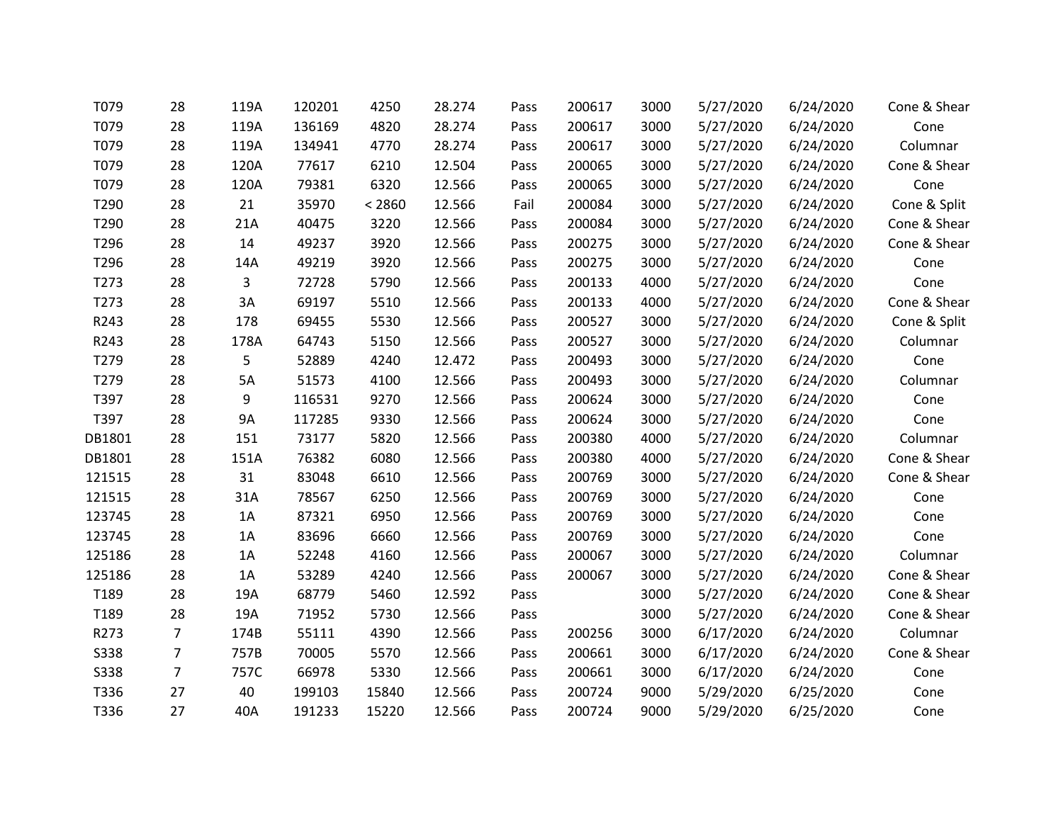| T079        | 28             | 119A      | 120201 | 4250   | 28.274 | Pass | 200617 | 3000 | 5/27/2020 | 6/24/2020 | Cone & Shear |
|-------------|----------------|-----------|--------|--------|--------|------|--------|------|-----------|-----------|--------------|
| T079        | 28             | 119A      | 136169 | 4820   | 28.274 | Pass | 200617 | 3000 | 5/27/2020 | 6/24/2020 | Cone         |
| T079        | 28             | 119A      | 134941 | 4770   | 28.274 | Pass | 200617 | 3000 | 5/27/2020 | 6/24/2020 | Columnar     |
| T079        | 28             | 120A      | 77617  | 6210   | 12.504 | Pass | 200065 | 3000 | 5/27/2020 | 6/24/2020 | Cone & Shear |
| T079        | 28             | 120A      | 79381  | 6320   | 12.566 | Pass | 200065 | 3000 | 5/27/2020 | 6/24/2020 | Cone         |
| T290        | 28             | 21        | 35970  | < 2860 | 12.566 | Fail | 200084 | 3000 | 5/27/2020 | 6/24/2020 | Cone & Split |
| T290        | 28             | 21A       | 40475  | 3220   | 12.566 | Pass | 200084 | 3000 | 5/27/2020 | 6/24/2020 | Cone & Shear |
| T296        | 28             | 14        | 49237  | 3920   | 12.566 | Pass | 200275 | 3000 | 5/27/2020 | 6/24/2020 | Cone & Shear |
| T296        | 28             | 14A       | 49219  | 3920   | 12.566 | Pass | 200275 | 3000 | 5/27/2020 | 6/24/2020 | Cone         |
| T273        | 28             | 3         | 72728  | 5790   | 12.566 | Pass | 200133 | 4000 | 5/27/2020 | 6/24/2020 | Cone         |
| T273        | 28             | 3A        | 69197  | 5510   | 12.566 | Pass | 200133 | 4000 | 5/27/2020 | 6/24/2020 | Cone & Shear |
| R243        | 28             | 178       | 69455  | 5530   | 12.566 | Pass | 200527 | 3000 | 5/27/2020 | 6/24/2020 | Cone & Split |
| R243        | 28             | 178A      | 64743  | 5150   | 12.566 | Pass | 200527 | 3000 | 5/27/2020 | 6/24/2020 | Columnar     |
| T279        | 28             | 5         | 52889  | 4240   | 12.472 | Pass | 200493 | 3000 | 5/27/2020 | 6/24/2020 | Cone         |
| T279        | 28             | 5A        | 51573  | 4100   | 12.566 | Pass | 200493 | 3000 | 5/27/2020 | 6/24/2020 | Columnar     |
| T397        | 28             | 9         | 116531 | 9270   | 12.566 | Pass | 200624 | 3000 | 5/27/2020 | 6/24/2020 | Cone         |
| T397        | 28             | <b>9A</b> | 117285 | 9330   | 12.566 | Pass | 200624 | 3000 | 5/27/2020 | 6/24/2020 | Cone         |
| DB1801      | 28             | 151       | 73177  | 5820   | 12.566 | Pass | 200380 | 4000 | 5/27/2020 | 6/24/2020 | Columnar     |
| DB1801      | 28             | 151A      | 76382  | 6080   | 12.566 | Pass | 200380 | 4000 | 5/27/2020 | 6/24/2020 | Cone & Shear |
| 121515      | 28             | 31        | 83048  | 6610   | 12.566 | Pass | 200769 | 3000 | 5/27/2020 | 6/24/2020 | Cone & Shear |
| 121515      | 28             | 31A       | 78567  | 6250   | 12.566 | Pass | 200769 | 3000 | 5/27/2020 | 6/24/2020 | Cone         |
| 123745      | 28             | 1A        | 87321  | 6950   | 12.566 | Pass | 200769 | 3000 | 5/27/2020 | 6/24/2020 | Cone         |
| 123745      | 28             | 1A        | 83696  | 6660   | 12.566 | Pass | 200769 | 3000 | 5/27/2020 | 6/24/2020 | Cone         |
| 125186      | 28             | 1A        | 52248  | 4160   | 12.566 | Pass | 200067 | 3000 | 5/27/2020 | 6/24/2020 | Columnar     |
| 125186      | 28             | 1A        | 53289  | 4240   | 12.566 | Pass | 200067 | 3000 | 5/27/2020 | 6/24/2020 | Cone & Shear |
| T189        | 28             | 19A       | 68779  | 5460   | 12.592 | Pass |        | 3000 | 5/27/2020 | 6/24/2020 | Cone & Shear |
| T189        | 28             | 19A       | 71952  | 5730   | 12.566 | Pass |        | 3000 | 5/27/2020 | 6/24/2020 | Cone & Shear |
| R273        | $\overline{7}$ | 174B      | 55111  | 4390   | 12.566 | Pass | 200256 | 3000 | 6/17/2020 | 6/24/2020 | Columnar     |
| <b>S338</b> | $\overline{7}$ | 757B      | 70005  | 5570   | 12.566 | Pass | 200661 | 3000 | 6/17/2020 | 6/24/2020 | Cone & Shear |
| <b>S338</b> | $\overline{7}$ | 757C      | 66978  | 5330   | 12.566 | Pass | 200661 | 3000 | 6/17/2020 | 6/24/2020 | Cone         |
| T336        | 27             | 40        | 199103 | 15840  | 12.566 | Pass | 200724 | 9000 | 5/29/2020 | 6/25/2020 | Cone         |
| T336        | 27             | 40A       | 191233 | 15220  | 12.566 | Pass | 200724 | 9000 | 5/29/2020 | 6/25/2020 | Cone         |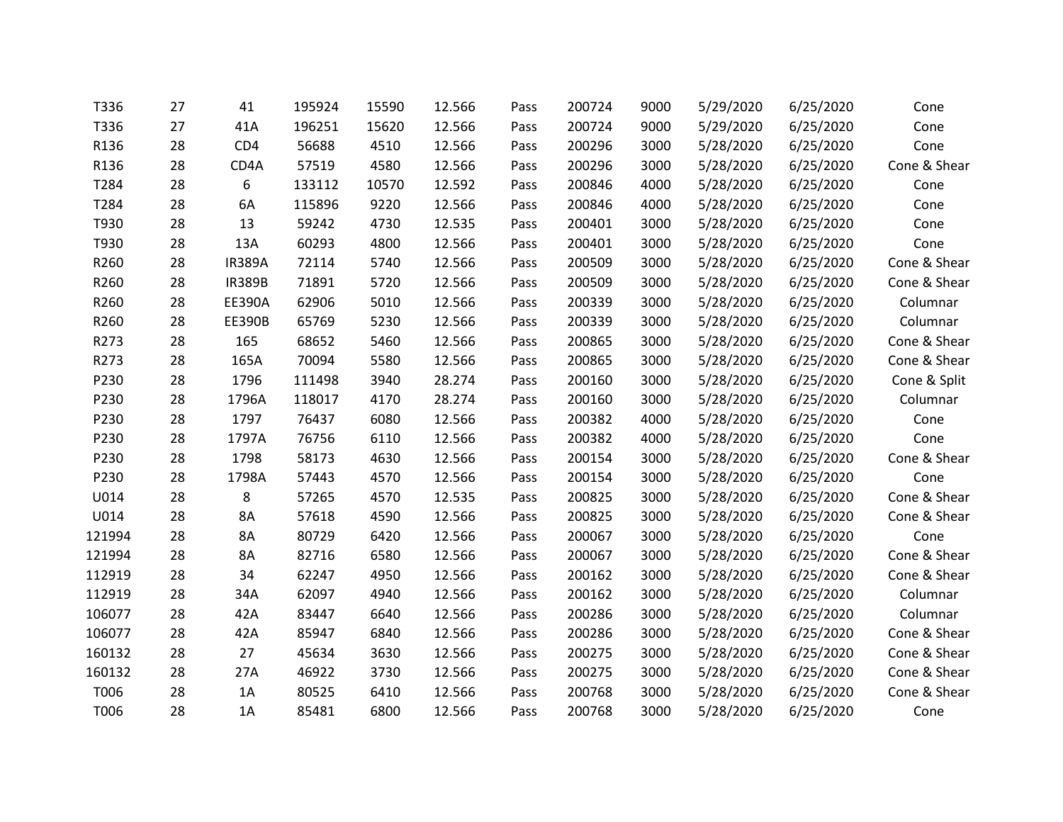| T336   | 27 | 41            | 195924 | 15590 | 12.566 | Pass | 200724 | 9000 | 5/29/2020 | 6/25/2020 | Cone         |
|--------|----|---------------|--------|-------|--------|------|--------|------|-----------|-----------|--------------|
| T336   | 27 | 41A           | 196251 | 15620 | 12.566 | Pass | 200724 | 9000 | 5/29/2020 | 6/25/2020 | Cone         |
| R136   | 28 | CD4           | 56688  | 4510  | 12.566 | Pass | 200296 | 3000 | 5/28/2020 | 6/25/2020 | Cone         |
| R136   | 28 | CD4A          | 57519  | 4580  | 12.566 | Pass | 200296 | 3000 | 5/28/2020 | 6/25/2020 | Cone & Shear |
| T284   | 28 | 6             | 133112 | 10570 | 12.592 | Pass | 200846 | 4000 | 5/28/2020 | 6/25/2020 | Cone         |
| T284   | 28 | 6A            | 115896 | 9220  | 12.566 | Pass | 200846 | 4000 | 5/28/2020 | 6/25/2020 | Cone         |
| T930   | 28 | 13            | 59242  | 4730  | 12.535 | Pass | 200401 | 3000 | 5/28/2020 | 6/25/2020 | Cone         |
| T930   | 28 | 13A           | 60293  | 4800  | 12.566 | Pass | 200401 | 3000 | 5/28/2020 | 6/25/2020 | Cone         |
| R260   | 28 | <b>IR389A</b> | 72114  | 5740  | 12.566 | Pass | 200509 | 3000 | 5/28/2020 | 6/25/2020 | Cone & Shear |
| R260   | 28 | <b>IR389B</b> | 71891  | 5720  | 12.566 | Pass | 200509 | 3000 | 5/28/2020 | 6/25/2020 | Cone & Shear |
| R260   | 28 | EE390A        | 62906  | 5010  | 12.566 | Pass | 200339 | 3000 | 5/28/2020 | 6/25/2020 | Columnar     |
| R260   | 28 | <b>EE390B</b> | 65769  | 5230  | 12.566 | Pass | 200339 | 3000 | 5/28/2020 | 6/25/2020 | Columnar     |
| R273   | 28 | 165           | 68652  | 5460  | 12.566 | Pass | 200865 | 3000 | 5/28/2020 | 6/25/2020 | Cone & Shear |
| R273   | 28 | 165A          | 70094  | 5580  | 12.566 | Pass | 200865 | 3000 | 5/28/2020 | 6/25/2020 | Cone & Shear |
| P230   | 28 | 1796          | 111498 | 3940  | 28.274 | Pass | 200160 | 3000 | 5/28/2020 | 6/25/2020 | Cone & Split |
| P230   | 28 | 1796A         | 118017 | 4170  | 28.274 | Pass | 200160 | 3000 | 5/28/2020 | 6/25/2020 | Columnar     |
| P230   | 28 | 1797          | 76437  | 6080  | 12.566 | Pass | 200382 | 4000 | 5/28/2020 | 6/25/2020 | Cone         |
| P230   | 28 | 1797A         | 76756  | 6110  | 12.566 | Pass | 200382 | 4000 | 5/28/2020 | 6/25/2020 | Cone         |
| P230   | 28 | 1798          | 58173  | 4630  | 12.566 | Pass | 200154 | 3000 | 5/28/2020 | 6/25/2020 | Cone & Shear |
| P230   | 28 | 1798A         | 57443  | 4570  | 12.566 | Pass | 200154 | 3000 | 5/28/2020 | 6/25/2020 | Cone         |
| U014   | 28 | 8             | 57265  | 4570  | 12.535 | Pass | 200825 | 3000 | 5/28/2020 | 6/25/2020 | Cone & Shear |
| U014   | 28 | <b>8A</b>     | 57618  | 4590  | 12.566 | Pass | 200825 | 3000 | 5/28/2020 | 6/25/2020 | Cone & Shear |
| 121994 | 28 | <b>8A</b>     | 80729  | 6420  | 12.566 | Pass | 200067 | 3000 | 5/28/2020 | 6/25/2020 | Cone         |
| 121994 | 28 | 8A            | 82716  | 6580  | 12.566 | Pass | 200067 | 3000 | 5/28/2020 | 6/25/2020 | Cone & Shear |
| 112919 | 28 | 34            | 62247  | 4950  | 12.566 | Pass | 200162 | 3000 | 5/28/2020 | 6/25/2020 | Cone & Shear |
| 112919 | 28 | 34A           | 62097  | 4940  | 12.566 | Pass | 200162 | 3000 | 5/28/2020 | 6/25/2020 | Columnar     |
| 106077 | 28 | 42A           | 83447  | 6640  | 12.566 | Pass | 200286 | 3000 | 5/28/2020 | 6/25/2020 | Columnar     |
| 106077 | 28 | 42A           | 85947  | 6840  | 12.566 | Pass | 200286 | 3000 | 5/28/2020 | 6/25/2020 | Cone & Shear |
| 160132 | 28 | 27            | 45634  | 3630  | 12.566 | Pass | 200275 | 3000 | 5/28/2020 | 6/25/2020 | Cone & Shear |
| 160132 | 28 | 27A           | 46922  | 3730  | 12.566 | Pass | 200275 | 3000 | 5/28/2020 | 6/25/2020 | Cone & Shear |
| T006   | 28 | 1A            | 80525  | 6410  | 12.566 | Pass | 200768 | 3000 | 5/28/2020 | 6/25/2020 | Cone & Shear |
| T006   | 28 | 1A            | 85481  | 6800  | 12.566 | Pass | 200768 | 3000 | 5/28/2020 | 6/25/2020 | Cone         |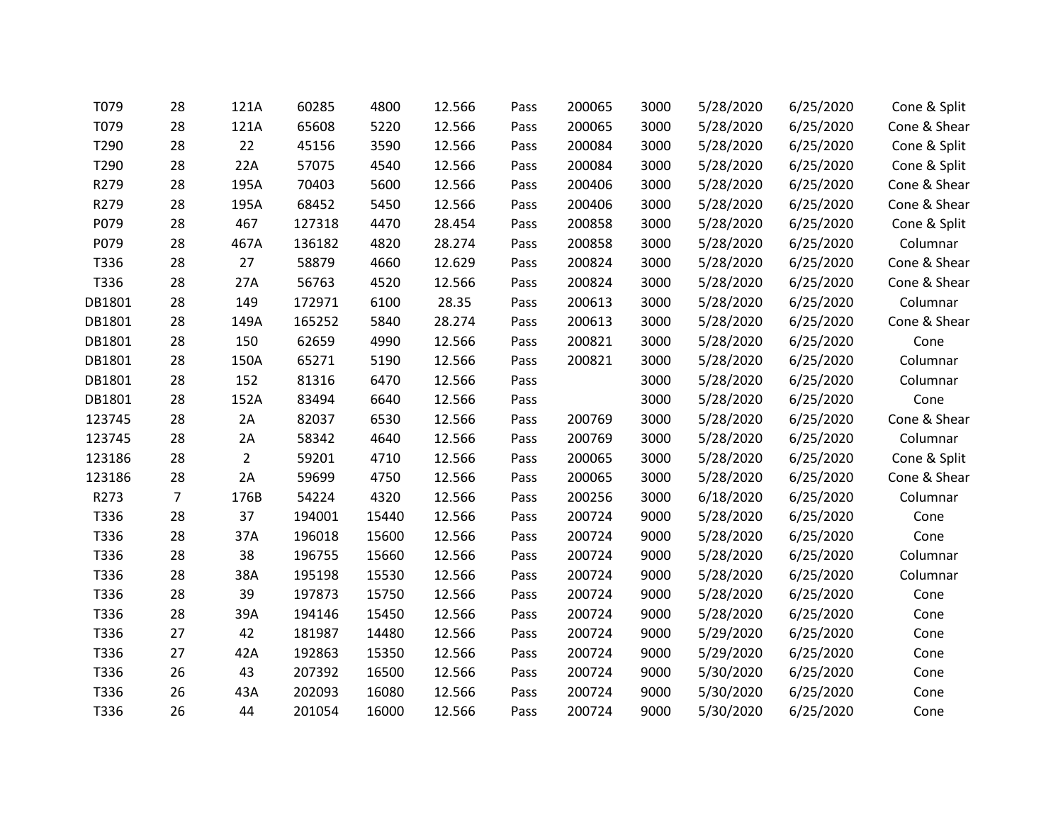| T079   | 28             | 121A           | 60285  | 4800  | 12.566 | Pass | 200065 | 3000 | 5/28/2020 | 6/25/2020 | Cone & Split |
|--------|----------------|----------------|--------|-------|--------|------|--------|------|-----------|-----------|--------------|
| T079   | 28             | 121A           | 65608  | 5220  | 12.566 | Pass | 200065 | 3000 | 5/28/2020 | 6/25/2020 | Cone & Shear |
| T290   | 28             | 22             | 45156  | 3590  | 12.566 | Pass | 200084 | 3000 | 5/28/2020 | 6/25/2020 | Cone & Split |
| T290   | 28             | 22A            | 57075  | 4540  | 12.566 | Pass | 200084 | 3000 | 5/28/2020 | 6/25/2020 | Cone & Split |
| R279   | 28             | 195A           | 70403  | 5600  | 12.566 | Pass | 200406 | 3000 | 5/28/2020 | 6/25/2020 | Cone & Shear |
| R279   | 28             | 195A           | 68452  | 5450  | 12.566 | Pass | 200406 | 3000 | 5/28/2020 | 6/25/2020 | Cone & Shear |
| P079   | 28             | 467            | 127318 | 4470  | 28.454 | Pass | 200858 | 3000 | 5/28/2020 | 6/25/2020 | Cone & Split |
| P079   | 28             | 467A           | 136182 | 4820  | 28.274 | Pass | 200858 | 3000 | 5/28/2020 | 6/25/2020 | Columnar     |
| T336   | 28             | 27             | 58879  | 4660  | 12.629 | Pass | 200824 | 3000 | 5/28/2020 | 6/25/2020 | Cone & Shear |
| T336   | 28             | 27A            | 56763  | 4520  | 12.566 | Pass | 200824 | 3000 | 5/28/2020 | 6/25/2020 | Cone & Shear |
| DB1801 | 28             | 149            | 172971 | 6100  | 28.35  | Pass | 200613 | 3000 | 5/28/2020 | 6/25/2020 | Columnar     |
| DB1801 | 28             | 149A           | 165252 | 5840  | 28.274 | Pass | 200613 | 3000 | 5/28/2020 | 6/25/2020 | Cone & Shear |
| DB1801 | 28             | 150            | 62659  | 4990  | 12.566 | Pass | 200821 | 3000 | 5/28/2020 | 6/25/2020 | Cone         |
| DB1801 | 28             | 150A           | 65271  | 5190  | 12.566 | Pass | 200821 | 3000 | 5/28/2020 | 6/25/2020 | Columnar     |
| DB1801 | 28             | 152            | 81316  | 6470  | 12.566 | Pass |        | 3000 | 5/28/2020 | 6/25/2020 | Columnar     |
| DB1801 | 28             | 152A           | 83494  | 6640  | 12.566 | Pass |        | 3000 | 5/28/2020 | 6/25/2020 | Cone         |
| 123745 | 28             | 2A             | 82037  | 6530  | 12.566 | Pass | 200769 | 3000 | 5/28/2020 | 6/25/2020 | Cone & Shear |
| 123745 | 28             | 2A             | 58342  | 4640  | 12.566 | Pass | 200769 | 3000 | 5/28/2020 | 6/25/2020 | Columnar     |
| 123186 | 28             | $\overline{2}$ | 59201  | 4710  | 12.566 | Pass | 200065 | 3000 | 5/28/2020 | 6/25/2020 | Cone & Split |
| 123186 | 28             | 2A             | 59699  | 4750  | 12.566 | Pass | 200065 | 3000 | 5/28/2020 | 6/25/2020 | Cone & Shear |
| R273   | $\overline{7}$ | 176B           | 54224  | 4320  | 12.566 | Pass | 200256 | 3000 | 6/18/2020 | 6/25/2020 | Columnar     |
| T336   | 28             | 37             | 194001 | 15440 | 12.566 | Pass | 200724 | 9000 | 5/28/2020 | 6/25/2020 | Cone         |
| T336   | 28             | 37A            | 196018 | 15600 | 12.566 | Pass | 200724 | 9000 | 5/28/2020 | 6/25/2020 | Cone         |
| T336   | 28             | 38             | 196755 | 15660 | 12.566 | Pass | 200724 | 9000 | 5/28/2020 | 6/25/2020 | Columnar     |
| T336   | 28             | 38A            | 195198 | 15530 | 12.566 | Pass | 200724 | 9000 | 5/28/2020 | 6/25/2020 | Columnar     |
| T336   | 28             | 39             | 197873 | 15750 | 12.566 | Pass | 200724 | 9000 | 5/28/2020 | 6/25/2020 | Cone         |
| T336   | 28             | 39A            | 194146 | 15450 | 12.566 | Pass | 200724 | 9000 | 5/28/2020 | 6/25/2020 | Cone         |
| T336   | 27             | 42             | 181987 | 14480 | 12.566 | Pass | 200724 | 9000 | 5/29/2020 | 6/25/2020 | Cone         |
| T336   | 27             | 42A            | 192863 | 15350 | 12.566 | Pass | 200724 | 9000 | 5/29/2020 | 6/25/2020 | Cone         |
| T336   | 26             | 43             | 207392 | 16500 | 12.566 | Pass | 200724 | 9000 | 5/30/2020 | 6/25/2020 | Cone         |
| T336   | 26             | 43A            | 202093 | 16080 | 12.566 | Pass | 200724 | 9000 | 5/30/2020 | 6/25/2020 | Cone         |
| T336   | 26             | 44             | 201054 | 16000 | 12.566 | Pass | 200724 | 9000 | 5/30/2020 | 6/25/2020 | Cone         |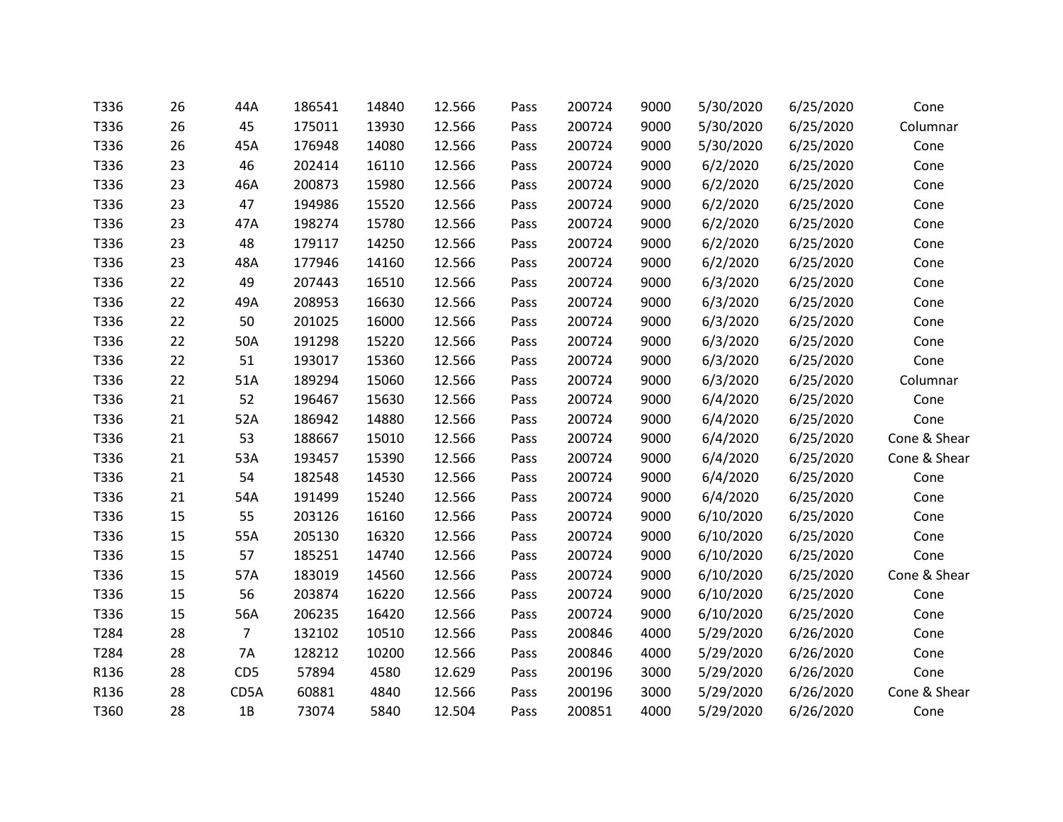| T336 | 26 | 44A             | 186541 | 14840 | 12.566 | Pass | 200724 | 9000 | 5/30/2020 | 6/25/2020 | Cone         |
|------|----|-----------------|--------|-------|--------|------|--------|------|-----------|-----------|--------------|
| T336 | 26 | 45              | 175011 | 13930 | 12.566 | Pass | 200724 | 9000 | 5/30/2020 | 6/25/2020 | Columnar     |
| T336 | 26 | 45A             | 176948 | 14080 | 12.566 | Pass | 200724 | 9000 | 5/30/2020 | 6/25/2020 | Cone         |
| T336 | 23 | 46              | 202414 | 16110 | 12.566 | Pass | 200724 | 9000 | 6/2/2020  | 6/25/2020 | Cone         |
| T336 | 23 | 46A             | 200873 | 15980 | 12.566 | Pass | 200724 | 9000 | 6/2/2020  | 6/25/2020 | Cone         |
| T336 | 23 | 47              | 194986 | 15520 | 12.566 | Pass | 200724 | 9000 | 6/2/2020  | 6/25/2020 | Cone         |
| T336 | 23 | 47A             | 198274 | 15780 | 12.566 | Pass | 200724 | 9000 | 6/2/2020  | 6/25/2020 | Cone         |
| T336 | 23 | 48              | 179117 | 14250 | 12.566 | Pass | 200724 | 9000 | 6/2/2020  | 6/25/2020 | Cone         |
| T336 | 23 | 48A             | 177946 | 14160 | 12.566 | Pass | 200724 | 9000 | 6/2/2020  | 6/25/2020 | Cone         |
| T336 | 22 | 49              | 207443 | 16510 | 12.566 | Pass | 200724 | 9000 | 6/3/2020  | 6/25/2020 | Cone         |
| T336 | 22 | 49A             | 208953 | 16630 | 12.566 | Pass | 200724 | 9000 | 6/3/2020  | 6/25/2020 | Cone         |
| T336 | 22 | 50              | 201025 | 16000 | 12.566 | Pass | 200724 | 9000 | 6/3/2020  | 6/25/2020 | Cone         |
| T336 | 22 | 50A             | 191298 | 15220 | 12.566 | Pass | 200724 | 9000 | 6/3/2020  | 6/25/2020 | Cone         |
| T336 | 22 | 51              | 193017 | 15360 | 12.566 | Pass | 200724 | 9000 | 6/3/2020  | 6/25/2020 | Cone         |
| T336 | 22 | 51A             | 189294 | 15060 | 12.566 | Pass | 200724 | 9000 | 6/3/2020  | 6/25/2020 | Columnar     |
| T336 | 21 | 52              | 196467 | 15630 | 12.566 | Pass | 200724 | 9000 | 6/4/2020  | 6/25/2020 | Cone         |
| T336 | 21 | 52A             | 186942 | 14880 | 12.566 | Pass | 200724 | 9000 | 6/4/2020  | 6/25/2020 | Cone         |
| T336 | 21 | 53              | 188667 | 15010 | 12.566 | Pass | 200724 | 9000 | 6/4/2020  | 6/25/2020 | Cone & Shear |
| T336 | 21 | 53A             | 193457 | 15390 | 12.566 | Pass | 200724 | 9000 | 6/4/2020  | 6/25/2020 | Cone & Shear |
| T336 | 21 | 54              | 182548 | 14530 | 12.566 | Pass | 200724 | 9000 | 6/4/2020  | 6/25/2020 | Cone         |
| T336 | 21 | 54A             | 191499 | 15240 | 12.566 | Pass | 200724 | 9000 | 6/4/2020  | 6/25/2020 | Cone         |
| T336 | 15 | 55              | 203126 | 16160 | 12.566 | Pass | 200724 | 9000 | 6/10/2020 | 6/25/2020 | Cone         |
| T336 | 15 | 55A             | 205130 | 16320 | 12.566 | Pass | 200724 | 9000 | 6/10/2020 | 6/25/2020 | Cone         |
| T336 | 15 | 57              | 185251 | 14740 | 12.566 | Pass | 200724 | 9000 | 6/10/2020 | 6/25/2020 | Cone         |
| T336 | 15 | 57A             | 183019 | 14560 | 12.566 | Pass | 200724 | 9000 | 6/10/2020 | 6/25/2020 | Cone & Shear |
| T336 | 15 | 56              | 203874 | 16220 | 12.566 | Pass | 200724 | 9000 | 6/10/2020 | 6/25/2020 | Cone         |
| T336 | 15 | 56A             | 206235 | 16420 | 12.566 | Pass | 200724 | 9000 | 6/10/2020 | 6/25/2020 | Cone         |
| T284 | 28 | $\overline{7}$  | 132102 | 10510 | 12.566 | Pass | 200846 | 4000 | 5/29/2020 | 6/26/2020 | Cone         |
| T284 | 28 | 7A              | 128212 | 10200 | 12.566 | Pass | 200846 | 4000 | 5/29/2020 | 6/26/2020 | Cone         |
| R136 | 28 | CD <sub>5</sub> | 57894  | 4580  | 12.629 | Pass | 200196 | 3000 | 5/29/2020 | 6/26/2020 | Cone         |
| R136 | 28 | CD5A            | 60881  | 4840  | 12.566 | Pass | 200196 | 3000 | 5/29/2020 | 6/26/2020 | Cone & Shear |
| T360 | 28 | 1B              | 73074  | 5840  | 12.504 | Pass | 200851 | 4000 | 5/29/2020 | 6/26/2020 | Cone         |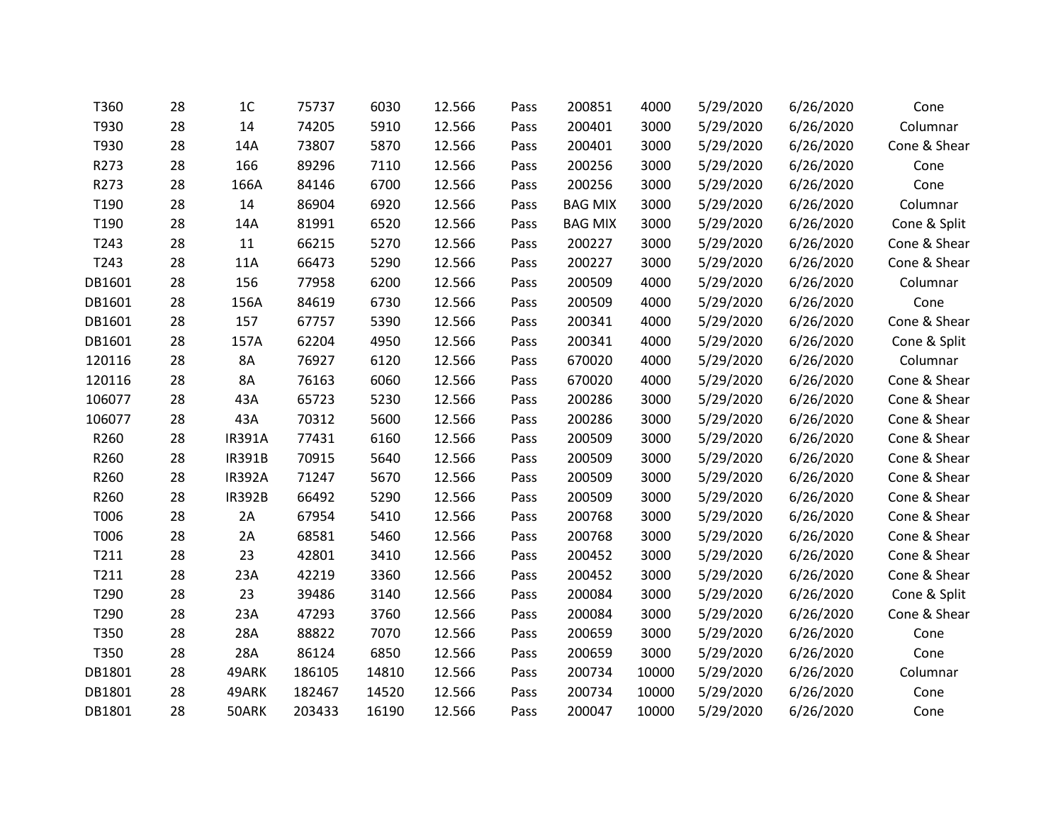| T360   | 28 | 1 <sup>C</sup> | 75737  | 6030  | 12.566 | Pass | 200851         | 4000  | 5/29/2020 | 6/26/2020 | Cone         |
|--------|----|----------------|--------|-------|--------|------|----------------|-------|-----------|-----------|--------------|
| T930   | 28 | 14             | 74205  | 5910  | 12.566 | Pass | 200401         | 3000  | 5/29/2020 | 6/26/2020 | Columnar     |
| T930   | 28 | 14A            | 73807  | 5870  | 12.566 | Pass | 200401         | 3000  | 5/29/2020 | 6/26/2020 | Cone & Shear |
| R273   | 28 | 166            | 89296  | 7110  | 12.566 | Pass | 200256         | 3000  | 5/29/2020 | 6/26/2020 | Cone         |
| R273   | 28 | 166A           | 84146  | 6700  | 12.566 | Pass | 200256         | 3000  | 5/29/2020 | 6/26/2020 | Cone         |
| T190   | 28 | 14             | 86904  | 6920  | 12.566 | Pass | <b>BAG MIX</b> | 3000  | 5/29/2020 | 6/26/2020 | Columnar     |
| T190   | 28 | 14A            | 81991  | 6520  | 12.566 | Pass | <b>BAG MIX</b> | 3000  | 5/29/2020 | 6/26/2020 | Cone & Split |
| T243   | 28 | 11             | 66215  | 5270  | 12.566 | Pass | 200227         | 3000  | 5/29/2020 | 6/26/2020 | Cone & Shear |
| T243   | 28 | 11A            | 66473  | 5290  | 12.566 | Pass | 200227         | 3000  | 5/29/2020 | 6/26/2020 | Cone & Shear |
| DB1601 | 28 | 156            | 77958  | 6200  | 12.566 | Pass | 200509         | 4000  | 5/29/2020 | 6/26/2020 | Columnar     |
| DB1601 | 28 | 156A           | 84619  | 6730  | 12.566 | Pass | 200509         | 4000  | 5/29/2020 | 6/26/2020 | Cone         |
| DB1601 | 28 | 157            | 67757  | 5390  | 12.566 | Pass | 200341         | 4000  | 5/29/2020 | 6/26/2020 | Cone & Shear |
| DB1601 | 28 | 157A           | 62204  | 4950  | 12.566 | Pass | 200341         | 4000  | 5/29/2020 | 6/26/2020 | Cone & Split |
| 120116 | 28 | <b>8A</b>      | 76927  | 6120  | 12.566 | Pass | 670020         | 4000  | 5/29/2020 | 6/26/2020 | Columnar     |
| 120116 | 28 | 8A             | 76163  | 6060  | 12.566 | Pass | 670020         | 4000  | 5/29/2020 | 6/26/2020 | Cone & Shear |
| 106077 | 28 | 43A            | 65723  | 5230  | 12.566 | Pass | 200286         | 3000  | 5/29/2020 | 6/26/2020 | Cone & Shear |
| 106077 | 28 | 43A            | 70312  | 5600  | 12.566 | Pass | 200286         | 3000  | 5/29/2020 | 6/26/2020 | Cone & Shear |
| R260   | 28 | <b>IR391A</b>  | 77431  | 6160  | 12.566 | Pass | 200509         | 3000  | 5/29/2020 | 6/26/2020 | Cone & Shear |
| R260   | 28 | <b>IR391B</b>  | 70915  | 5640  | 12.566 | Pass | 200509         | 3000  | 5/29/2020 | 6/26/2020 | Cone & Shear |
| R260   | 28 | <b>IR392A</b>  | 71247  | 5670  | 12.566 | Pass | 200509         | 3000  | 5/29/2020 | 6/26/2020 | Cone & Shear |
| R260   | 28 | <b>IR392B</b>  | 66492  | 5290  | 12.566 | Pass | 200509         | 3000  | 5/29/2020 | 6/26/2020 | Cone & Shear |
| T006   | 28 | 2A             | 67954  | 5410  | 12.566 | Pass | 200768         | 3000  | 5/29/2020 | 6/26/2020 | Cone & Shear |
| T006   | 28 | 2A             | 68581  | 5460  | 12.566 | Pass | 200768         | 3000  | 5/29/2020 | 6/26/2020 | Cone & Shear |
| T211   | 28 | 23             | 42801  | 3410  | 12.566 | Pass | 200452         | 3000  | 5/29/2020 | 6/26/2020 | Cone & Shear |
| T211   | 28 | 23A            | 42219  | 3360  | 12.566 | Pass | 200452         | 3000  | 5/29/2020 | 6/26/2020 | Cone & Shear |
| T290   | 28 | 23             | 39486  | 3140  | 12.566 | Pass | 200084         | 3000  | 5/29/2020 | 6/26/2020 | Cone & Split |
| T290   | 28 | 23A            | 47293  | 3760  | 12.566 | Pass | 200084         | 3000  | 5/29/2020 | 6/26/2020 | Cone & Shear |
| T350   | 28 | 28A            | 88822  | 7070  | 12.566 | Pass | 200659         | 3000  | 5/29/2020 | 6/26/2020 | Cone         |
| T350   | 28 | 28A            | 86124  | 6850  | 12.566 | Pass | 200659         | 3000  | 5/29/2020 | 6/26/2020 | Cone         |
| DB1801 | 28 | 49ARK          | 186105 | 14810 | 12.566 | Pass | 200734         | 10000 | 5/29/2020 | 6/26/2020 | Columnar     |
| DB1801 | 28 | 49ARK          | 182467 | 14520 | 12.566 | Pass | 200734         | 10000 | 5/29/2020 | 6/26/2020 | Cone         |
| DB1801 | 28 | 50ARK          | 203433 | 16190 | 12.566 | Pass | 200047         | 10000 | 5/29/2020 | 6/26/2020 | Cone         |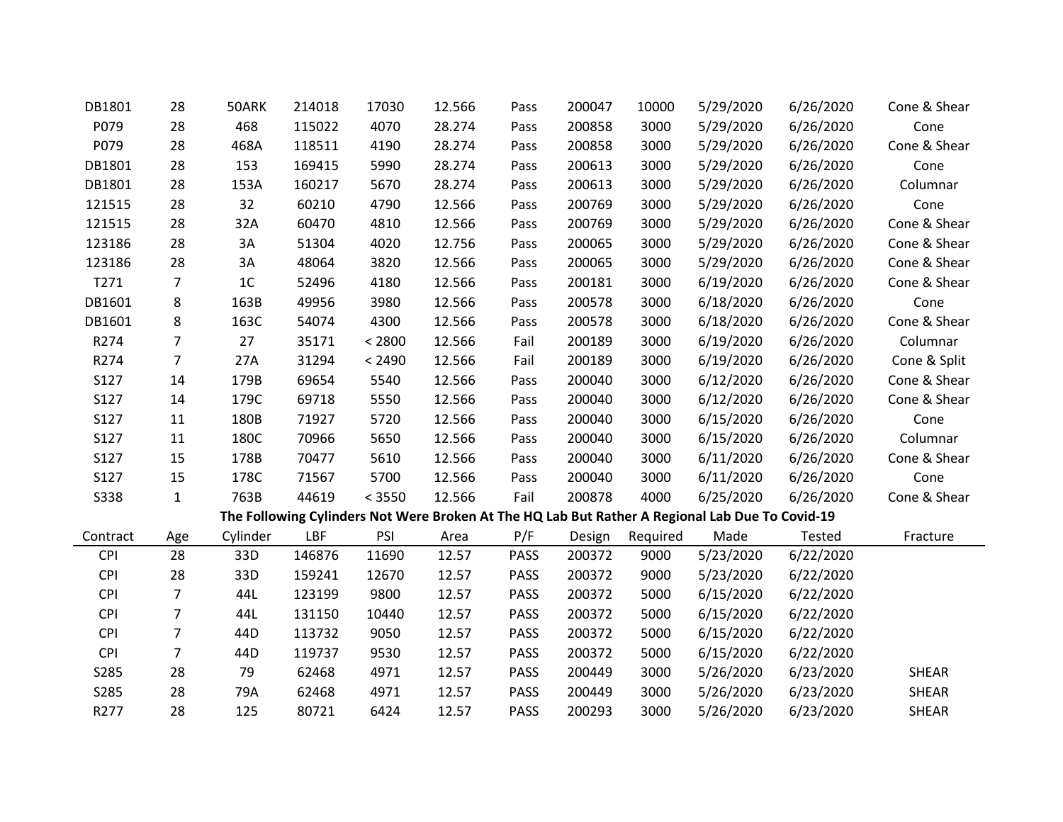| DB1801      | 28             | 50ARK    | 214018 | 17030  | 12.566 | Pass        | 200047 | 10000    | 5/29/2020                                                                                       | 6/26/2020 | Cone & Shear |
|-------------|----------------|----------|--------|--------|--------|-------------|--------|----------|-------------------------------------------------------------------------------------------------|-----------|--------------|
| P079        | 28             | 468      | 115022 | 4070   | 28.274 | Pass        | 200858 | 3000     | 5/29/2020                                                                                       | 6/26/2020 | Cone         |
| P079        | 28             | 468A     | 118511 | 4190   | 28.274 | Pass        | 200858 | 3000     | 5/29/2020                                                                                       | 6/26/2020 | Cone & Shear |
| DB1801      | 28             | 153      | 169415 | 5990   | 28.274 | Pass        | 200613 | 3000     | 5/29/2020                                                                                       | 6/26/2020 | Cone         |
| DB1801      | 28             | 153A     | 160217 | 5670   | 28.274 | Pass        | 200613 | 3000     | 5/29/2020                                                                                       | 6/26/2020 | Columnar     |
| 121515      | 28             | 32       | 60210  | 4790   | 12.566 | Pass        | 200769 | 3000     | 5/29/2020                                                                                       | 6/26/2020 | Cone         |
| 121515      | 28             | 32A      | 60470  | 4810   | 12.566 | Pass        | 200769 | 3000     | 5/29/2020                                                                                       | 6/26/2020 | Cone & Shear |
| 123186      | 28             | 3A       | 51304  | 4020   | 12.756 | Pass        | 200065 | 3000     | 5/29/2020                                                                                       | 6/26/2020 | Cone & Shear |
| 123186      | 28             | 3A       | 48064  | 3820   | 12.566 | Pass        | 200065 | 3000     | 5/29/2020                                                                                       | 6/26/2020 | Cone & Shear |
| T271        | $\overline{7}$ | 1C       | 52496  | 4180   | 12.566 | Pass        | 200181 | 3000     | 6/19/2020                                                                                       | 6/26/2020 | Cone & Shear |
| DB1601      | 8              | 163B     | 49956  | 3980   | 12.566 | Pass        | 200578 | 3000     | 6/18/2020                                                                                       | 6/26/2020 | Cone         |
| DB1601      | 8              | 163C     | 54074  | 4300   | 12.566 | Pass        | 200578 | 3000     | 6/18/2020                                                                                       | 6/26/2020 | Cone & Shear |
| R274        | $\overline{7}$ | 27       | 35171  | < 2800 | 12.566 | Fail        | 200189 | 3000     | 6/19/2020                                                                                       | 6/26/2020 | Columnar     |
| R274        | $\overline{7}$ | 27A      | 31294  | < 2490 | 12.566 | Fail        | 200189 | 3000     | 6/19/2020                                                                                       | 6/26/2020 | Cone & Split |
| <b>S127</b> | 14             | 179B     | 69654  | 5540   | 12.566 | Pass        | 200040 | 3000     | 6/12/2020                                                                                       | 6/26/2020 | Cone & Shear |
| S127        | 14             | 179C     | 69718  | 5550   | 12.566 | Pass        | 200040 | 3000     | 6/12/2020                                                                                       | 6/26/2020 | Cone & Shear |
| S127        | 11             | 180B     | 71927  | 5720   | 12.566 | Pass        | 200040 | 3000     | 6/15/2020                                                                                       | 6/26/2020 | Cone         |
| S127        | 11             | 180C     | 70966  | 5650   | 12.566 | Pass        | 200040 | 3000     | 6/15/2020                                                                                       | 6/26/2020 | Columnar     |
| S127        | 15             | 178B     | 70477  | 5610   | 12.566 | Pass        | 200040 | 3000     | 6/11/2020                                                                                       | 6/26/2020 | Cone & Shear |
| S127        | 15             | 178C     | 71567  | 5700   | 12.566 | Pass        | 200040 | 3000     | 6/11/2020                                                                                       | 6/26/2020 | Cone         |
| <b>S338</b> | $\mathbf 1$    | 763B     | 44619  | < 3550 | 12.566 | Fail        | 200878 | 4000     | 6/25/2020                                                                                       | 6/26/2020 | Cone & Shear |
|             |                |          |        |        |        |             |        |          | The Following Cylinders Not Were Broken At The HQ Lab But Rather A Regional Lab Due To Covid-19 |           |              |
| Contract    | Age            | Cylinder | LBF    | PSI    | Area   | P/F         | Design | Required | Made                                                                                            | Tested    | Fracture     |
| <b>CPI</b>  | 28             | 33D      | 146876 | 11690  | 12.57  | PASS        | 200372 | 9000     | 5/23/2020                                                                                       | 6/22/2020 |              |
| <b>CPI</b>  | 28             | 33D      | 159241 | 12670  | 12.57  | PASS        | 200372 | 9000     | 5/23/2020                                                                                       | 6/22/2020 |              |
| <b>CPI</b>  | $\overline{7}$ | 44L      | 123199 | 9800   | 12.57  | PASS        | 200372 | 5000     | 6/15/2020                                                                                       | 6/22/2020 |              |
| <b>CPI</b>  | $\overline{7}$ | 44L      | 131150 | 10440  | 12.57  | <b>PASS</b> | 200372 | 5000     | 6/15/2020                                                                                       | 6/22/2020 |              |
| <b>CPI</b>  | $\overline{7}$ | 44D      | 113732 | 9050   | 12.57  | PASS        | 200372 | 5000     | 6/15/2020                                                                                       | 6/22/2020 |              |
| CPI         | $\overline{7}$ | 44D      | 119737 | 9530   | 12.57  | PASS        | 200372 | 5000     | 6/15/2020                                                                                       | 6/22/2020 |              |
| S285        | 28             | 79       | 62468  | 4971   | 12.57  | <b>PASS</b> | 200449 | 3000     | 5/26/2020                                                                                       | 6/23/2020 | <b>SHEAR</b> |
| S285        | 28             | 79A      | 62468  | 4971   | 12.57  | <b>PASS</b> | 200449 | 3000     | 5/26/2020                                                                                       | 6/23/2020 | <b>SHEAR</b> |
| R277        | 28             | 125      | 80721  | 6424   | 12.57  | <b>PASS</b> | 200293 | 3000     | 5/26/2020                                                                                       | 6/23/2020 | <b>SHEAR</b> |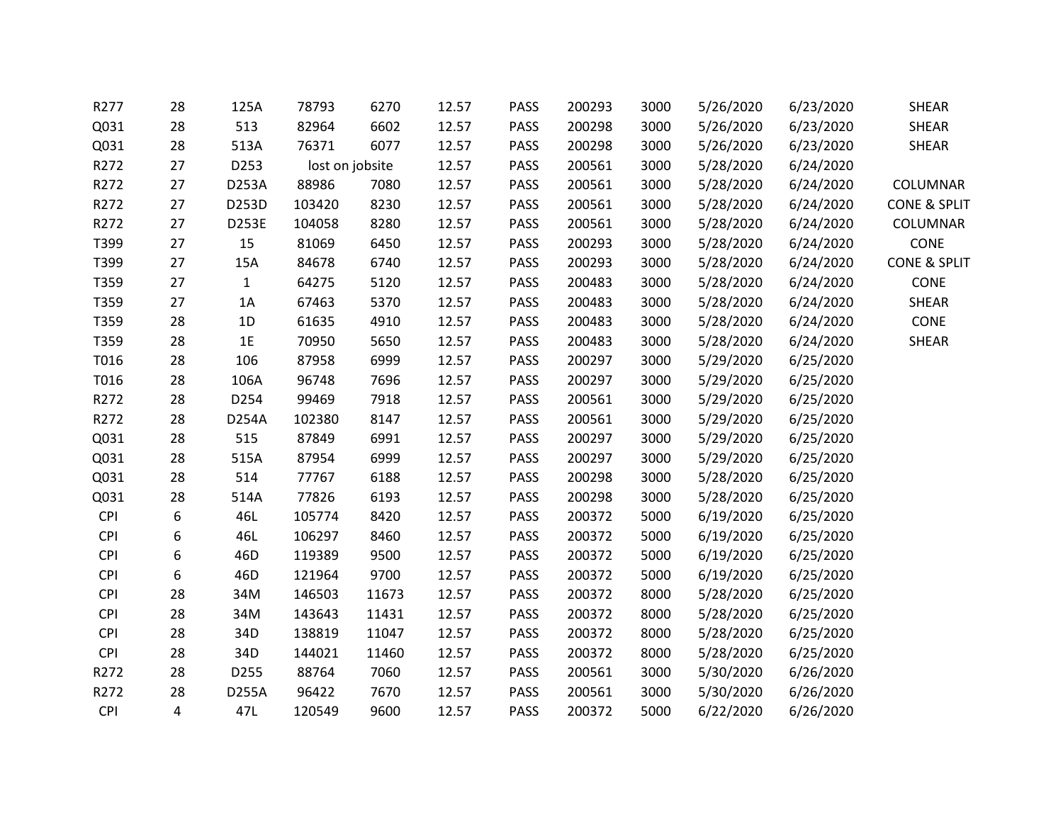| R277       | 28             | 125A         | 78793           | 6270  | 12.57 | <b>PASS</b> | 200293 | 3000 | 5/26/2020 | 6/23/2020 | <b>SHEAR</b>            |
|------------|----------------|--------------|-----------------|-------|-------|-------------|--------|------|-----------|-----------|-------------------------|
| Q031       | 28             | 513          | 82964           | 6602  | 12.57 | PASS        | 200298 | 3000 | 5/26/2020 | 6/23/2020 | <b>SHEAR</b>            |
| Q031       | 28             | 513A         | 76371           | 6077  | 12.57 | <b>PASS</b> | 200298 | 3000 | 5/26/2020 | 6/23/2020 | <b>SHEAR</b>            |
| R272       | 27             | D253         | lost on jobsite |       | 12.57 | <b>PASS</b> | 200561 | 3000 | 5/28/2020 | 6/24/2020 |                         |
| R272       | 27             | D253A        | 88986           | 7080  | 12.57 | PASS        | 200561 | 3000 | 5/28/2020 | 6/24/2020 | COLUMNAR                |
| R272       | 27             | D253D        | 103420          | 8230  | 12.57 | PASS        | 200561 | 3000 | 5/28/2020 | 6/24/2020 | <b>CONE &amp; SPLIT</b> |
| R272       | 27             | D253E        | 104058          | 8280  | 12.57 | PASS        | 200561 | 3000 | 5/28/2020 | 6/24/2020 | COLUMNAR                |
| T399       | 27             | 15           | 81069           | 6450  | 12.57 | PASS        | 200293 | 3000 | 5/28/2020 | 6/24/2020 | CONE                    |
| T399       | 27             | 15A          | 84678           | 6740  | 12.57 | <b>PASS</b> | 200293 | 3000 | 5/28/2020 | 6/24/2020 | <b>CONE &amp; SPLIT</b> |
| T359       | 27             | $\mathbf{1}$ | 64275           | 5120  | 12.57 | <b>PASS</b> | 200483 | 3000 | 5/28/2020 | 6/24/2020 | CONE                    |
| T359       | 27             | 1A           | 67463           | 5370  | 12.57 | PASS        | 200483 | 3000 | 5/28/2020 | 6/24/2020 | <b>SHEAR</b>            |
| T359       | 28             | 1D           | 61635           | 4910  | 12.57 | PASS        | 200483 | 3000 | 5/28/2020 | 6/24/2020 | CONE                    |
| T359       | 28             | 1E           | 70950           | 5650  | 12.57 | PASS        | 200483 | 3000 | 5/28/2020 | 6/24/2020 | <b>SHEAR</b>            |
| T016       | 28             | 106          | 87958           | 6999  | 12.57 | PASS        | 200297 | 3000 | 5/29/2020 | 6/25/2020 |                         |
| T016       | 28             | 106A         | 96748           | 7696  | 12.57 | PASS        | 200297 | 3000 | 5/29/2020 | 6/25/2020 |                         |
| R272       | 28             | D254         | 99469           | 7918  | 12.57 | <b>PASS</b> | 200561 | 3000 | 5/29/2020 | 6/25/2020 |                         |
| R272       | 28             | D254A        | 102380          | 8147  | 12.57 | PASS        | 200561 | 3000 | 5/29/2020 | 6/25/2020 |                         |
| Q031       | 28             | 515          | 87849           | 6991  | 12.57 | <b>PASS</b> | 200297 | 3000 | 5/29/2020 | 6/25/2020 |                         |
| Q031       | 28             | 515A         | 87954           | 6999  | 12.57 | PASS        | 200297 | 3000 | 5/29/2020 | 6/25/2020 |                         |
| Q031       | 28             | 514          | 77767           | 6188  | 12.57 | PASS        | 200298 | 3000 | 5/28/2020 | 6/25/2020 |                         |
| Q031       | 28             | 514A         | 77826           | 6193  | 12.57 | PASS        | 200298 | 3000 | 5/28/2020 | 6/25/2020 |                         |
| <b>CPI</b> | 6              | 46L          | 105774          | 8420  | 12.57 | PASS        | 200372 | 5000 | 6/19/2020 | 6/25/2020 |                         |
| <b>CPI</b> | 6              | 46L          | 106297          | 8460  | 12.57 | <b>PASS</b> | 200372 | 5000 | 6/19/2020 | 6/25/2020 |                         |
| <b>CPI</b> | 6              | 46D          | 119389          | 9500  | 12.57 | PASS        | 200372 | 5000 | 6/19/2020 | 6/25/2020 |                         |
| <b>CPI</b> | 6              | 46D          | 121964          | 9700  | 12.57 | PASS        | 200372 | 5000 | 6/19/2020 | 6/25/2020 |                         |
| <b>CPI</b> | 28             | 34M          | 146503          | 11673 | 12.57 | PASS        | 200372 | 8000 | 5/28/2020 | 6/25/2020 |                         |
| <b>CPI</b> | 28             | 34M          | 143643          | 11431 | 12.57 | <b>PASS</b> | 200372 | 8000 | 5/28/2020 | 6/25/2020 |                         |
| <b>CPI</b> | 28             | 34D          | 138819          | 11047 | 12.57 | PASS        | 200372 | 8000 | 5/28/2020 | 6/25/2020 |                         |
| <b>CPI</b> | 28             | 34D          | 144021          | 11460 | 12.57 | PASS        | 200372 | 8000 | 5/28/2020 | 6/25/2020 |                         |
| R272       | 28             | D255         | 88764           | 7060  | 12.57 | PASS        | 200561 | 3000 | 5/30/2020 | 6/26/2020 |                         |
| R272       | 28             | D255A        | 96422           | 7670  | 12.57 | PASS        | 200561 | 3000 | 5/30/2020 | 6/26/2020 |                         |
| <b>CPI</b> | $\overline{4}$ | 47L          | 120549          | 9600  | 12.57 | <b>PASS</b> | 200372 | 5000 | 6/22/2020 | 6/26/2020 |                         |